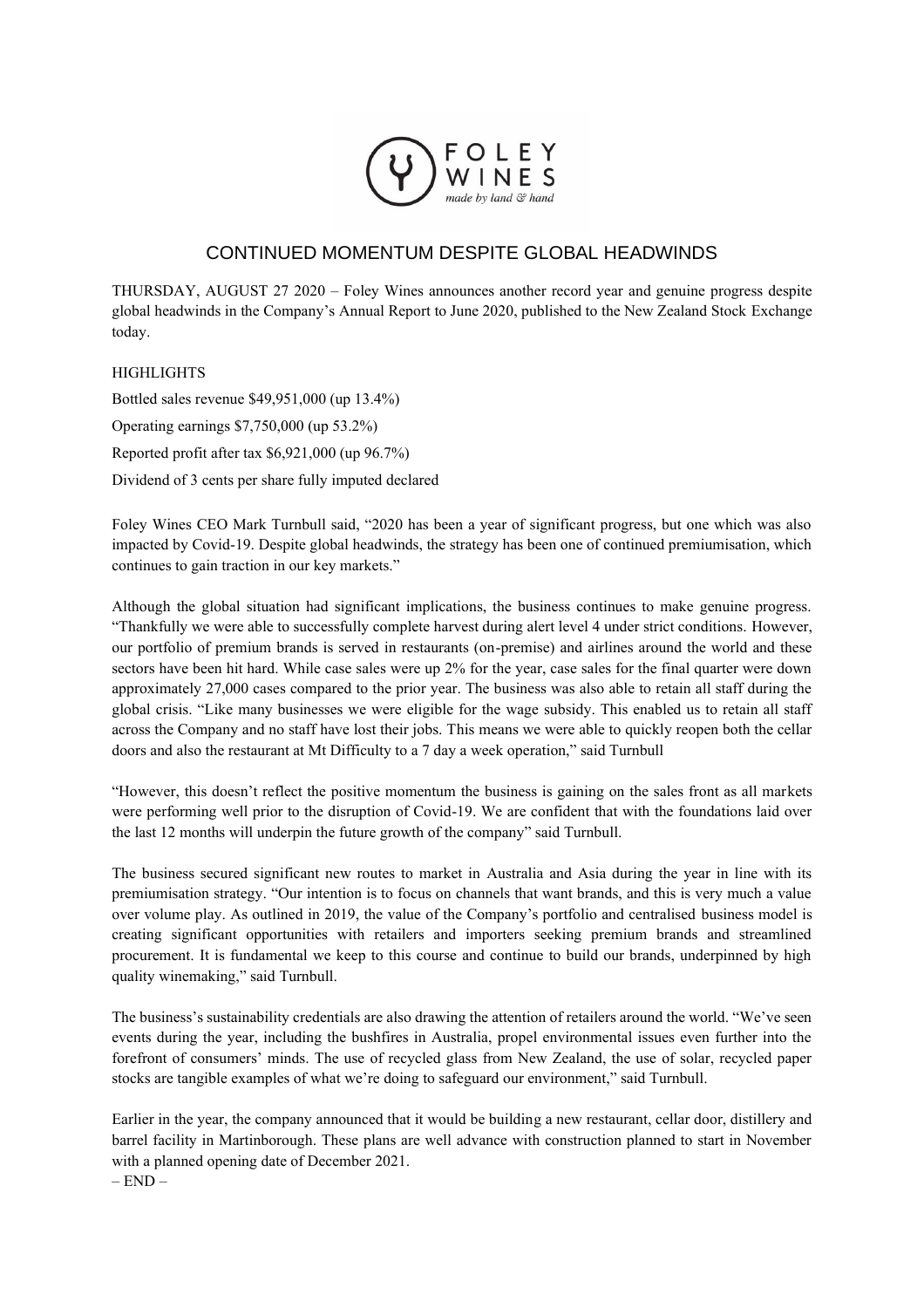

## CONTINUED MOMENTUM DESPITE GLOBAL HEADWINDS

THURSDAY, AUGUST 27 2020 – Foley Wines announces another record year and genuine progress despite global headwinds in the Company's Annual Report to June 2020, published to the New Zealand Stock Exchange today.

## **HIGHLIGHTS**

Bottled sales revenue \$49,951,000 (up 13.4%) Operating earnings \$7,750,000 (up 53.2%) Reported profit after tax \$6,921,000 (up 96.7%) Dividend of 3 cents per share fully imputed declared

Foley Wines CEO Mark Turnbull said, "2020 has been a year of significant progress, but one which was also impacted by Covid-19. Despite global headwinds, the strategy has been one of continued premiumisation, which continues to gain traction in our key markets."

Although the global situation had significant implications, the business continues to make genuine progress. "Thankfully we were able to successfully complete harvest during alert level 4 under strict conditions. However, our portfolio of premium brands is served in restaurants (on-premise) and airlines around the world and these sectors have been hit hard. While case sales were up 2% for the year, case sales for the final quarter were down approximately 27,000 cases compared to the prior year. The business was also able to retain all staff during the global crisis. "Like many businesses we were eligible for the wage subsidy. This enabled us to retain all staff across the Company and no staff have lost their jobs. This means we were able to quickly reopen both the cellar doors and also the restaurant at Mt Difficulty to a 7 day a week operation," said Turnbull

"However, this doesn't reflect the positive momentum the business is gaining on the sales front as all markets were performing well prior to the disruption of Covid-19. We are confident that with the foundations laid over the last 12 months will underpin the future growth of the company" said Turnbull.

The business secured significant new routes to market in Australia and Asia during the year in line with its premiumisation strategy. "Our intention is to focus on channels that want brands, and this is very much a value over volume play. As outlined in 2019, the value of the Company's portfolio and centralised business model is creating significant opportunities with retailers and importers seeking premium brands and streamlined procurement. It is fundamental we keep to this course and continue to build our brands, underpinned by high quality winemaking," said Turnbull.

The business's sustainability credentials are also drawing the attention of retailers around the world. "We've seen events during the year, including the bushfires in Australia, propel environmental issues even further into the forefront of consumers' minds. The use of recycled glass from New Zealand, the use of solar, recycled paper stocks are tangible examples of what we're doing to safeguard our environment," said Turnbull.

Earlier in the year, the company announced that it would be building a new restaurant, cellar door, distillery and barrel facility in Martinborough. These plans are well advance with construction planned to start in November with a planned opening date of December 2021.

 $-$  END  $-$